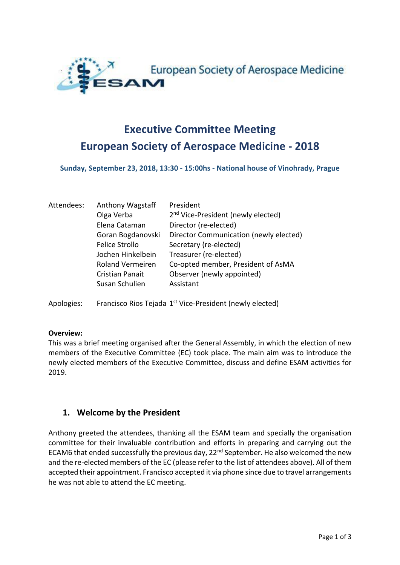

# **Executive Committee Meeting European Society of Aerospace Medicine - 2018**

**Sunday, September 23, 2018, 13:30 - 15:00hs - National house of Vinohrady, Prague**

| Attendees: | <b>Anthony Wagstaff</b> | President                                      |
|------------|-------------------------|------------------------------------------------|
|            | Olga Verba              | 2 <sup>nd</sup> Vice-President (newly elected) |
|            | Elena Cataman           | Director (re-elected)                          |
|            | Goran Bogdanovski       | Director Communication (newly elected)         |
|            | <b>Felice Strollo</b>   | Secretary (re-elected)                         |
|            | Jochen Hinkelbein       | Treasurer (re-elected)                         |
|            | <b>Roland Vermeiren</b> | Co-opted member, President of AsMA             |
|            | <b>Cristian Panait</b>  | Observer (newly appointed)                     |
|            | Susan Schulien          | Assistant                                      |
|            |                         |                                                |

Apologies: Francisco Rios Tejada 1<sup>st</sup> Vice-President (newly elected)

#### **Overview:**

This was a brief meeting organised after the General Assembly, in which the election of new members of the Executive Committee (EC) took place. The main aim was to introduce the newly elected members of the Executive Committee, discuss and define ESAM activities for 2019.

## **1. Welcome by the President**

Anthony greeted the attendees, thanking all the ESAM team and specially the organisation committee for their invaluable contribution and efforts in preparing and carrying out the ECAM6 that ended successfully the previous day,  $22<sup>nd</sup>$  September. He also welcomed the new and the re-elected members of the EC (please refer to the list of attendees above). All of them accepted their appointment. Francisco accepted it via phone since due to travel arrangements he was not able to attend the EC meeting.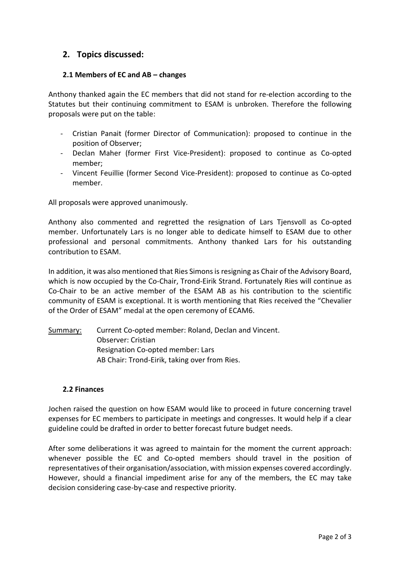## **2. Topics discussed:**

## **2.1 Members of EC and AB – changes**

Anthony thanked again the EC members that did not stand for re-election according to the Statutes but their continuing commitment to ESAM is unbroken. Therefore the following proposals were put on the table:

- Cristian Panait (former Director of Communication): proposed to continue in the position of Observer;
- Declan Maher (former First Vice-President): proposed to continue as Co-opted member;
- Vincent Feuillie (former Second Vice-President): proposed to continue as Co-opted member.

All proposals were approved unanimously.

Anthony also commented and regretted the resignation of Lars Tjensvoll as Co-opted member. Unfortunately Lars is no longer able to dedicate himself to ESAM due to other professional and personal commitments. Anthony thanked Lars for his outstanding contribution to ESAM.

In addition, it was also mentioned that Ries Simons is resigning as Chair of the Advisory Board, which is now occupied by the Co-Chair, Trond-Eirik Strand. Fortunately Ries will continue as Co-Chair to be an active member of the ESAM AB as his contribution to the scientific community of ESAM is exceptional. It is worth mentioning that Ries received the "Chevalier of the Order of ESAM" medal at the open ceremony of ECAM6.

Summary: Current Co-opted member: Roland, Declan and Vincent. Observer: Cristian Resignation Co-opted member: Lars AB Chair: Trond-Eirik, taking over from Ries.

#### **2.2 Finances**

Jochen raised the question on how ESAM would like to proceed in future concerning travel expenses for EC members to participate in meetings and congresses. It would help if a clear guideline could be drafted in order to better forecast future budget needs.

After some deliberations it was agreed to maintain for the moment the current approach: whenever possible the EC and Co-opted members should travel in the position of representatives of their organisation/association, with mission expenses covered accordingly. However, should a financial impediment arise for any of the members, the EC may take decision considering case-by-case and respective priority.